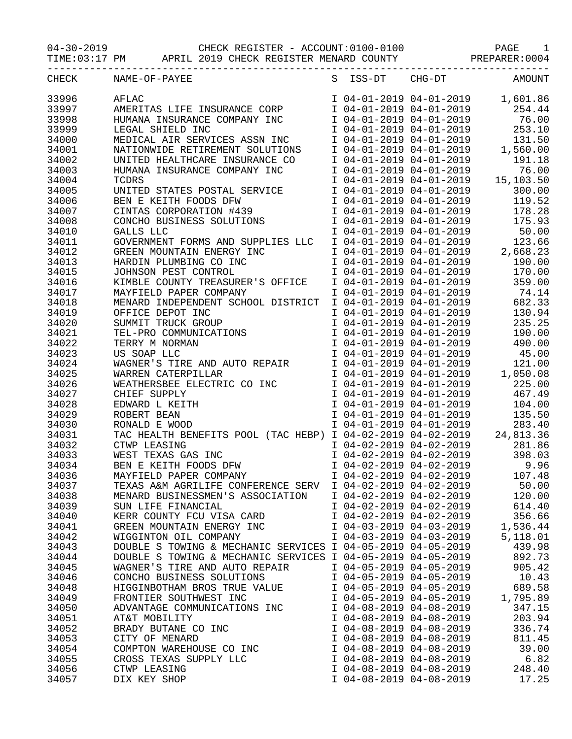04-30-2019 CHECK REGISTER - ACCOUNT:0100-0100 PAGE 1

TIME:03:17 PM APRIL 2019 CHECK REGISTER MENARD COUNTY PREPARER:0004

| CHECK          | NAME-OF-PAYEE                                                                                     | S ISS-DT                | CHG-DT                                                 | AMOUNT                            |
|----------------|---------------------------------------------------------------------------------------------------|-------------------------|--------------------------------------------------------|-----------------------------------|
| 33996          | AFLAC                                                                                             |                         | I 04-01-2019 04-01-2019                                | 1,601.86                          |
| 33997          | AMERITAS LIFE INSURANCE CORP                                                                      |                         | I 04-01-2019 04-01-2019                                | 254.44                            |
| 33998          | HUMANA INSURANCE COMPANY INC                                                                      |                         | I 04-01-2019 04-01-2019                                | 76.00                             |
| 33999          | LEGAL SHIELD INC                                                                                  |                         | I 04-01-2019 04-01-2019                                | 253.10                            |
| 34000          | MEDICAL AIR SERVICES ASSN INC                                                                     |                         | I 04-01-2019 04-01-2019                                | 131.50                            |
| 34001          | NATIONWIDE RETIREMENT SOLUTIONS                                                                   |                         | I 04-01-2019 04-01-2019                                | 1,560.00                          |
| 34002          | UNITED HEALTHCARE INSURANCE CO                                                                    | I 04-01-2019 04-01-2019 |                                                        | 191.18                            |
| 34003          | HUMANA INSURANCE COMPANY INC                                                                      | I 04-01-2019 04-01-2019 |                                                        | 76.00                             |
| 34004          | TCDRS                                                                                             |                         |                                                        | I 04-01-2019 04-01-2019 15,103.50 |
| 34005          | UNITED STATES POSTAL SERVICE                                                                      | I 04-01-2019 04-01-2019 |                                                        | 300.00                            |
| 34006          | BEN E KEITH FOODS DFW                                                                             |                         | I 04-01-2019 04-01-2019                                | 119.52                            |
| 34007          | CINTAS CORPORATION #439                                                                           |                         | I 04-01-2019 04-01-2019                                | 178.28                            |
|                |                                                                                                   |                         |                                                        | 175.93                            |
| 34008          | CONCHO BUSINESS SOLUTIONS                                                                         |                         | I 04-01-2019 04-01-2019                                |                                   |
| 34010          | GALLS LLC                                                                                         |                         | I 04-01-2019 04-01-2019                                | 50.00                             |
| 34011          | GOVERNMENT FORMS AND SUPPLIES LLC                                                                 |                         | I 04-01-2019 04-01-2019                                | 123.66                            |
| 34012          | GREEN MOUNTAIN ENERGY INC                                                                         |                         | I 04-01-2019 04-01-2019                                | 2,668.23                          |
| 34013          | HARDIN PLUMBING CO INC                                                                            | I 04-01-2019 04-01-2019 |                                                        | 190.00                            |
| 34015          | JOHNSON PEST CONTROL                                                                              | I 04-01-2019 04-01-2019 |                                                        | 170.00                            |
| 34016          | KIMBLE COUNTY TREASURER'S OFFICE                                                                  |                         | I 04-01-2019 04-01-2019                                | 359.00                            |
| 34017          | MAYFIELD PAPER COMPANY                                                                            | I 04-01-2019 04-01-2019 |                                                        | 74.14                             |
| 34018          | MENARD INDEPENDENT SCHOOL DISTRICT                                                                | I 04-01-2019 04-01-2019 |                                                        | 682.33                            |
| 34019          |                                                                                                   | I 04-01-2019 04-01-2019 |                                                        | 130.94                            |
| 34020          |                                                                                                   | I 04-01-2019 04-01-2019 |                                                        | 235.25                            |
| 34021          |                                                                                                   | I 04-01-2019 04-01-2019 |                                                        | 190.00                            |
| 34022          | OFFICE DEPOT INC<br>SUMMIT TRUCK GROUP<br>TEL-PRO COMMUNICATIONS<br>TERRY M NORMAN<br>US SOAP LLC | I 04-01-2019 04-01-2019 |                                                        | 490.00                            |
| 34023          | US SOAP LLC                                                                                       |                         | I 04-01-2019 04-01-2019                                | 45.00                             |
| 34024          | WAGNER'S TIRE AND AUTO REPAIR                                                                     |                         | I 04-01-2019 04-01-2019                                | 121.00                            |
| 34025          | WARREN CATERPILLAR                                                                                | I 04-01-2019 04-01-2019 |                                                        | 1,050.08                          |
| 34026          | WEATHERSBEE ELECTRIC CO INC                                                                       | I 04-01-2019 04-01-2019 |                                                        | 225.00                            |
| 34027          | CHIEF SUPPLY                                                                                      | I 04-01-2019 04-01-2019 |                                                        | 467.49                            |
| 34028          | EDWARD L KEITH                                                                                    | I 04-01-2019 04-01-2019 |                                                        | 104.00                            |
| 34029          | ROBERT BEAN                                                                                       |                         | I 04-01-2019 04-01-2019                                | 135.50                            |
| 34030          | RONALD E WOOD                                                                                     |                         | I 04-01-2019 04-01-2019                                | 283.40                            |
| 34031          | TAC HEALTH BENEFITS POOL (TAC HEBP) I 04-02-2019 04-02-2019 24,813.36                             |                         |                                                        |                                   |
| 34032          |                                                                                                   |                         | I 04-02-2019 04-02-2019                                | 281.86                            |
| 34033          | CTWP LEASING<br>WEST TEXAS GAS INC<br>BEN E KEITH FOODS DFW                                       |                         | $1 04-02-2019 04-02-2019$<br>$1 04-02-2019 04-02-2019$ | 398.03                            |
| 34034          |                                                                                                   |                         | I 04-02-2019 04-02-2019                                | 9.96                              |
| 34036          | MAYFIELD PAPER COMPANY                                                                            | I 04-02-2019 04-02-2019 |                                                        | 107.48                            |
|                | TEXAS A&M AGRILIFE CONFERENCE SERV                                                                | I 04-02-2019 04-02-2019 |                                                        | 50.00                             |
| 34037<br>34038 | MENARD BUSINESSMEN'S ASSOCIATION                                                                  | I 04-02-2019 04-02-2019 |                                                        | 120.00                            |
| 34039          | SUN LIFE FINANCIAL                                                                                | I 04-02-2019 04-02-2019 |                                                        | 614.40                            |
|                | KERR COUNTY FCU VISA CARD                                                                         |                         |                                                        | 356.66                            |
| 34040          |                                                                                                   | I 04-02-2019 04-02-2019 |                                                        |                                   |
| 34041          | GREEN MOUNTAIN ENERGY INC                                                                         | I 04-03-2019 04-03-2019 |                                                        | 1,536.44                          |
| 34042          | WIGGINTON OIL COMPANY                                                                             | I 04-03-2019 04-03-2019 |                                                        | 5,118.01                          |
| 34043          | DOUBLE S TOWING & MECHANIC SERVICES I 04-05-2019 04-05-2019                                       |                         |                                                        | 439.98                            |
| 34044          | DOUBLE S TOWING & MECHANIC SERVICES I 04-05-2019 04-05-2019                                       |                         |                                                        | 892.73                            |
| 34045          | WAGNER'S TIRE AND AUTO REPAIR                                                                     | I 04-05-2019 04-05-2019 |                                                        | 905.42                            |
| 34046          | CONCHO BUSINESS SOLUTIONS                                                                         | I 04-05-2019 04-05-2019 |                                                        | 10.43                             |
| 34048          | HIGGINBOTHAM BROS TRUE VALUE                                                                      | I 04-05-2019 04-05-2019 |                                                        | 689.58                            |
| 34049          | FRONTIER SOUTHWEST INC                                                                            | I 04-05-2019 04-05-2019 |                                                        | 1,795.89                          |
| 34050          | ADVANTAGE COMMUNICATIONS INC                                                                      | I 04-08-2019 04-08-2019 |                                                        | 347.15                            |
| 34051          | AT&T MOBILITY                                                                                     | I 04-08-2019 04-08-2019 |                                                        | 203.94                            |
| 34052          | BRADY BUTANE CO INC                                                                               | I 04-08-2019 04-08-2019 |                                                        | 336.74                            |
| 34053          | CITY OF MENARD                                                                                    | I 04-08-2019 04-08-2019 |                                                        | 811.45                            |
| 34054          | COMPTON WAREHOUSE CO INC                                                                          | I 04-08-2019 04-08-2019 |                                                        | 39.00                             |
| 34055          | CROSS TEXAS SUPPLY LLC                                                                            | I 04-08-2019 04-08-2019 |                                                        | 6.82                              |
| 34056          | CTWP LEASING                                                                                      | I 04-08-2019 04-08-2019 |                                                        | 248.40                            |
| 34057          | DIX KEY SHOP                                                                                      | I 04-08-2019 04-08-2019 |                                                        | 17.25                             |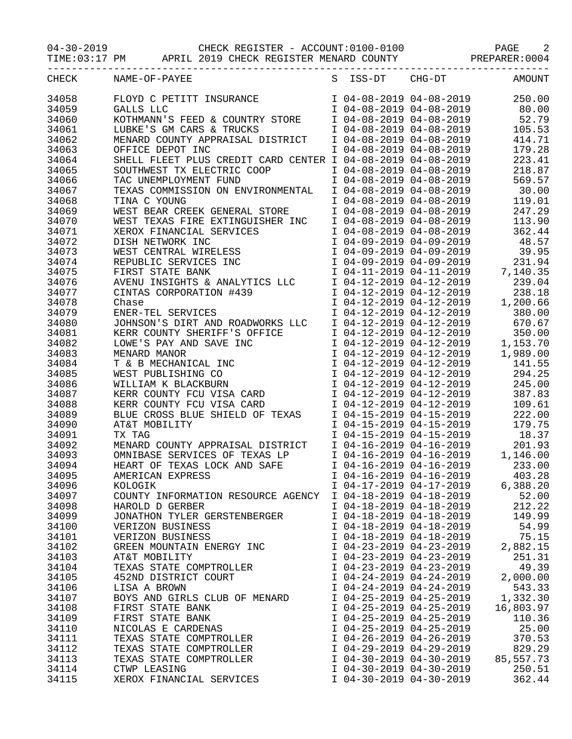04-30-2019 CHECK REGISTER - ACCOUNT:0100-0100 PAGE 2

TIME:03:17 PM APRIL 2019 CHECK REGISTER MENARD COUNTY PREPARER:0004

| CHECK | NAME-OF-PAYEE                                               | S ISS-DT                | $CHG-DT$                 | <b>AMOUNT</b> |
|-------|-------------------------------------------------------------|-------------------------|--------------------------|---------------|
| 34058 | FLOYD C PETITT INSURANCE                                    |                         | I 04-08-2019 04-08-2019  | 250.00        |
| 34059 | GALLS LLC                                                   | I 04-08-2019 04-08-2019 |                          | 80.00         |
| 34060 | KOTHMANN'S FEED & COUNTRY STORE                             | I 04-08-2019 04-08-2019 |                          | 52.79         |
| 34061 | LUBKE'S GM CARS & TRUCKS                                    | I 04-08-2019 04-08-2019 |                          | 105.53        |
|       |                                                             |                         |                          |               |
| 34062 | MENARD COUNTY APPRAISAL DISTRICT                            | I 04-08-2019 04-08-2019 |                          | 414.71        |
| 34063 | OFFICE DEPOT INC                                            | I 04-08-2019 04-08-2019 |                          | 179.28        |
| 34064 | SHELL FLEET PLUS CREDIT CARD CENTER I 04-08-2019 04-08-2019 |                         |                          | 223.41        |
| 34065 | SOUTHWEST TX ELECTRIC COOP                                  | I 04-08-2019 04-08-2019 |                          | 218.87        |
| 34066 | TAC UNEMPLOYMENT FUND                                       | I 04-08-2019 04-08-2019 |                          | 569.57        |
| 34067 | TEXAS COMMISSION ON ENVIRONMENTAL                           | I 04-08-2019 04-08-2019 |                          | 30.00         |
| 34068 | TINA C YOUNG                                                | I 04-08-2019 04-08-2019 |                          | 119.01        |
| 34069 | WEST BEAR CREEK GENERAL STORE                               | I 04-08-2019 04-08-2019 |                          | 247.29        |
| 34070 | WEST TEXAS FIRE EXTINGUISHER INC                            | I 04-08-2019 04-08-2019 |                          | 113.90        |
| 34071 | XEROX FINANCIAL SERVICES                                    | I 04-08-2019 04-08-2019 |                          | 362.44        |
| 34072 | DISH NETWORK INC                                            | I 04-09-2019 04-09-2019 |                          | 48.57         |
| 34073 | WEST CENTRAL WIRELESS                                       | I 04-09-2019 04-09-2019 |                          | 39.95         |
| 34074 |                                                             | I 04-09-2019 04-09-2019 |                          | 231.94        |
|       | REPUBLIC SERVICES INC                                       |                         |                          |               |
| 34075 | FIRST STATE BANK                                            | I 04-11-2019 04-11-2019 |                          | 7,140.35      |
| 34076 | AVENU INSIGHTS & ANALYTICS LLC                              | I 04-12-2019 04-12-2019 |                          | 239.04        |
| 34077 | CINTAS CORPORATION #439                                     | I 04-12-2019 04-12-2019 |                          | 238.18        |
| 34078 | Chase                                                       | I 04-12-2019 04-12-2019 |                          | 1,200.66      |
| 34079 | ENER-TEL SERVICES                                           | I 04-12-2019 04-12-2019 |                          | 380.00        |
| 34080 | JOHNSON'S DIRT AND ROADWORKS LLC                            |                         | I 04-12-2019 04-12-2019  | 670.67        |
| 34081 | KERR COUNTY SHERIFF'S OFFICE                                |                         | I 04-12-2019 04-12-2019  | 350.00        |
| 34082 | LOWE'S PAY AND SAVE INC                                     |                         | I 04-12-2019 04-12-2019  | 1,153.70      |
| 34083 | MENARD MANOR                                                | I 04-12-2019 04-12-2019 |                          | 1,989.00      |
| 34084 | T & B MECHANICAL INC                                        | I 04-12-2019 04-12-2019 |                          | 141.55        |
| 34085 | WEST PUBLISHING CO                                          | I 04-12-2019 04-12-2019 |                          | 294.25        |
| 34086 | WILLIAM K BLACKBURN                                         | I 04-12-2019 04-12-2019 |                          | 245.00        |
| 34087 |                                                             | I 04-12-2019 04-12-2019 |                          | 387.83        |
|       | KERR COUNTY FCU VISA CARD                                   |                         |                          |               |
| 34088 | KERR COUNTY FCU VISA CARD                                   | I 04-12-2019 04-12-2019 |                          | 109.61        |
| 34089 | BLUE CROSS BLUE SHIELD OF TEXAS                             | I 04-15-2019 04-15-2019 |                          | 222.00        |
| 34090 | AT&T MOBILITY                                               | I 04-15-2019 04-15-2019 |                          | 179.75        |
| 34091 | TX TAG                                                      | I 04-15-2019 04-15-2019 |                          | 18.37         |
| 34092 | MENARD COUNTY APPRAISAL DISTRICT                            |                         | I 04-16-2019 04-16-2019  | 201.93        |
| 34093 | OMNIBASE SERVICES OF TEXAS LP                               |                         | $104-16-2019$ 04-16-2019 | 1,146.00      |
| 34094 | HEART OF TEXAS LOCK AND SAFE                                |                         | I 04-16-2019 04-16-2019  | 233.00        |
| 34095 | AMERICAN EXPRESS                                            | I 04-16-2019 04-16-2019 |                          | 403.28        |
| 34096 | KOLOGIK                                                     | I 04-17-2019 04-17-2019 |                          | 6,388.20      |
| 34097 | COUNTY INFORMATION RESOURCE AGENCY                          | I 04-18-2019 04-18-2019 |                          | 52.00         |
| 34098 | HAROLD D GERBER                                             | I 04-18-2019 04-18-2019 |                          | 212.22        |
| 34099 | JONATHON TYLER GERSTENBERGER                                | I 04-18-2019 04-18-2019 |                          | 149.99        |
| 34100 | VERIZON BUSINESS                                            | I 04-18-2019 04-18-2019 |                          | 54.99         |
| 34101 |                                                             | I 04-18-2019 04-18-2019 |                          | 75.15         |
|       | VERIZON BUSINESS                                            |                         |                          |               |
| 34102 | GREEN MOUNTAIN ENERGY INC                                   | I 04-23-2019 04-23-2019 |                          | 2,882.15      |
| 34103 | AT&T MOBILITY                                               | I 04-23-2019 04-23-2019 |                          | 251.31        |
| 34104 | TEXAS STATE COMPTROLLER                                     | I 04-23-2019 04-23-2019 |                          | 49.39         |
| 34105 | 452ND DISTRICT COURT                                        | I 04-24-2019 04-24-2019 |                          | 2,000.00      |
| 34106 | LISA A BROWN                                                | I 04-24-2019 04-24-2019 |                          | 543.33        |
| 34107 | BOYS AND GIRLS CLUB OF MENARD                               | I 04-25-2019 04-25-2019 |                          | 1,332.30      |
| 34108 | FIRST STATE BANK                                            | I 04-25-2019 04-25-2019 |                          | 16,803.97     |
| 34109 | FIRST STATE BANK                                            | I 04-25-2019 04-25-2019 |                          | 110.36        |
| 34110 | NICOLAS E CARDENAS                                          | I 04-25-2019 04-25-2019 |                          | 25.00         |
| 34111 | TEXAS STATE COMPTROLLER                                     | I 04-26-2019 04-26-2019 |                          | 370.53        |
| 34112 | TEXAS STATE COMPTROLLER                                     | I 04-29-2019 04-29-2019 |                          | 829.29        |
| 34113 | TEXAS STATE COMPTROLLER                                     | I 04-30-2019 04-30-2019 |                          | 85,557.73     |
| 34114 | CTWP LEASING                                                | I 04-30-2019 04-30-2019 |                          | 250.51        |
| 34115 | XEROX FINANCIAL SERVICES                                    | I 04-30-2019 04-30-2019 |                          | 362.44        |
|       |                                                             |                         |                          |               |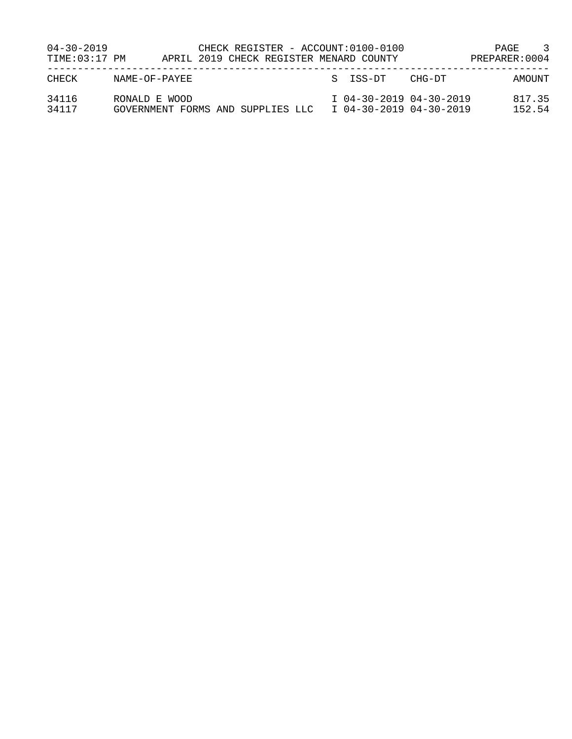| $04 - 30 - 2019$<br>TIME:03:17 PM |                                                    |  |  |  | CHECK REGISTER - ACCOUNT:0100-0100<br>APRIL 2019 CHECK REGISTER MENARD COUNTY |                                                    | -3<br>PAGE<br>PREPARER: 0004 |
|-----------------------------------|----------------------------------------------------|--|--|--|-------------------------------------------------------------------------------|----------------------------------------------------|------------------------------|
| CHECK                             | NAME-OF-PAYEE                                      |  |  |  | S ISS-DT                                                                      | CHG-DT                                             | AMOUNT                       |
| 34116<br>34117                    | RONALD E WOOD<br>GOVERNMENT FORMS AND SUPPLIES LLC |  |  |  |                                                                               | I 04-30-2019 04-30-2019<br>I 04-30-2019 04-30-2019 | 817.35<br>152.54             |